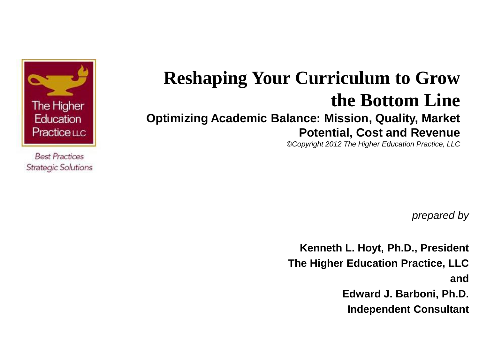

**Best Practices Strategic Solutions** 

#### **Reshaping Your Curriculum to Grow the Bottom Line Optimizing Academic Balance: Mission, Quality, Market Potential, Cost and Revenue**

*©Copyright 2012 The Higher Education Practice, LLC* 

*prepared by*

**Kenneth L. Hoyt, Ph.D., President The Higher Education Practice, LLC and Edward J. Barboni, Ph.D. Independent Consultant**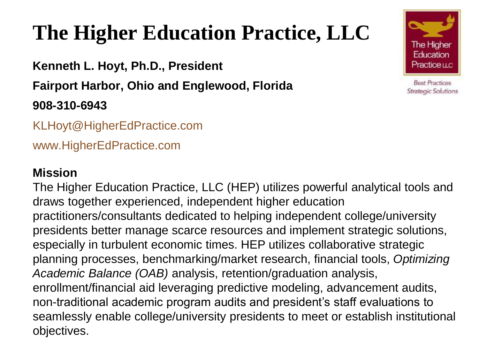# **The Higher Education Practice, LLC**

**Kenneth L. Hoyt, Ph.D., President Fairport Harbor, Ohio and Englewood, Florida 908-310-6943**

KLHoyt@HigherEdPractice.com

www.HigherEdPractice.com

#### **Mission**

 draws together experienced, independent higher education The Higher Education Practice, LLC (HEP) utilizes powerful analytical tools and practitioners/consultants dedicated to helping independent college/university presidents better manage scarce resources and implement strategic solutions, especially in turbulent economic times. HEP utilizes collaborative strategic planning processes, benchmarking/market research, financial tools, *Optimizing Academic Balance (OAB)* analysis, retention/graduation analysis, enrollment/financial aid leveraging predictive modeling, advancement audits, non-traditional academic program audits and president's staff evaluations to seamlessly enable college/university presidents to meet or establish institutional objectives.

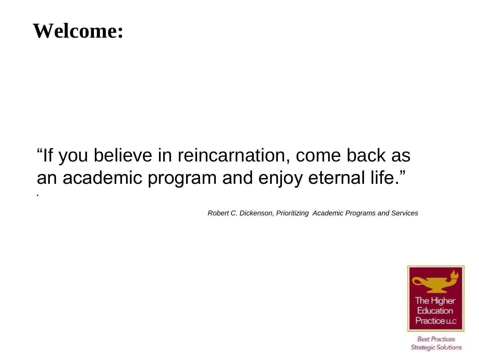

•

#### "If you believe in reincarnation, come back as an academic program and enjoy eternal life."

*Robert C. Dickenson, Prioritizing Academic Programs and Services*

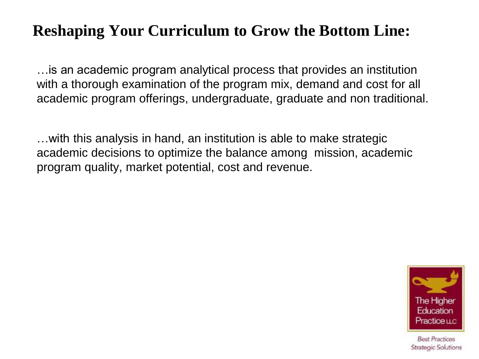#### **Reshaping Your Curriculum to Grow the Bottom Line:**

…is an academic program analytical process that provides an institution with a thorough examination of the program mix, demand and cost for all academic program offerings, undergraduate, graduate and non traditional.

…with this analysis in hand, an institution is able to make strategic academic decisions to optimize the balance among mission, academic program quality, market potential, cost and revenue.

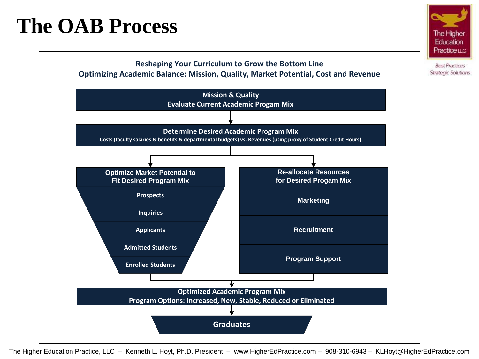#### **The OAB Process**



The Higher Education Practice LLC

> **Best Practices** Strategic Solutions

The Higher Education Practice, LLC – Kenneth L. Hoyt, Ph.D. President – www.HigherEdPractice.com – 908-310-6943 – KLHoyt@HigherEdPractice.com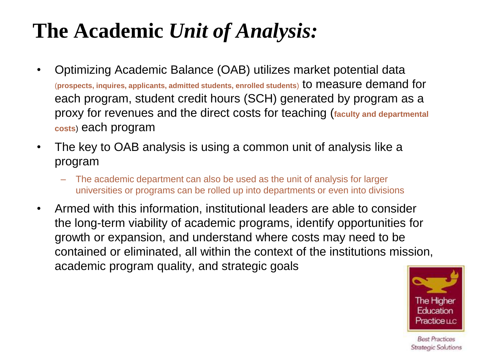# **The Academic** *Unit of Analysis:*

- Optimizing Academic Balance (OAB) utilizes market potential data (**prospects, inquires, applicants, admitted students, enrolled students**) to measure demand for each program, student credit hours (SCH) generated by program as a proxy for revenues and the direct costs for teaching (**faculty and departmental costs**) each program
- The key to OAB analysis is using a common unit of analysis like a program
	- The academic department can also be used as the unit of analysis for larger universities or programs can be rolled up into departments or even into divisions
- Armed with this information, institutional leaders are able to consider the long-term viability of academic programs, identify opportunities for growth or expansion, and understand where costs may need to be contained or eliminated, all within the context of the institutions mission, academic program quality, and strategic goals

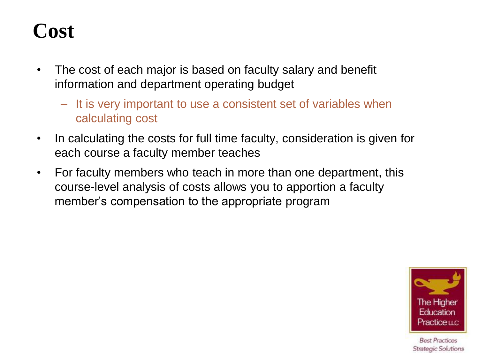#### **Cost**

- The cost of each major is based on faculty salary and benefit information and department operating budget
	- It is very important to use a consistent set of variables when calculating cost
- In calculating the costs for full time faculty, consideration is given for each course a faculty member teaches
- For faculty members who teach in more than one department, this course-level analysis of costs allows you to apportion a faculty member's compensation to the appropriate program

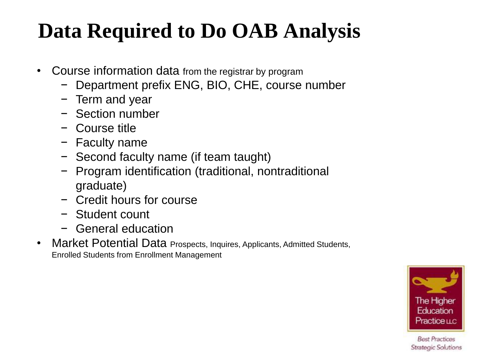# **Data Required to Do OAB Analysis**

- Course information data from the registrar by program
	- − Department prefix ENG, BIO, CHE, course number
	- − Term and year
	- − Section number
	- − Course title
	- − Faculty name
	- − Second faculty name (if team taught)
	- − Program identification (traditional, nontraditional graduate)
	- − Credit hours for course
	- − Student count
	- − General education
- Market Potential Data Prospects, Inquires, Applicants, Admitted Students, Enrolled Students from Enrollment Management

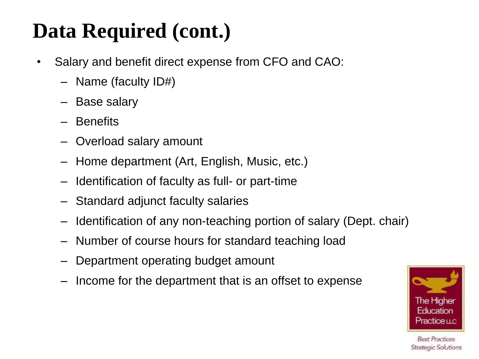# **Data Required (cont.)**

- Salary and benefit direct expense from CFO and CAO:
	- Name (faculty ID#)
	- Base salary
	- **Benefits**
	- Overload salary amount
	- Home department (Art, English, Music, etc.)
	- Identification of faculty as full- or part-time
	- Standard adjunct faculty salaries
	- Identification of any non-teaching portion of salary (Dept. chair)
	- Number of course hours for standard teaching load
	- Department operating budget amount
	- Income for the department that is an offset to expense

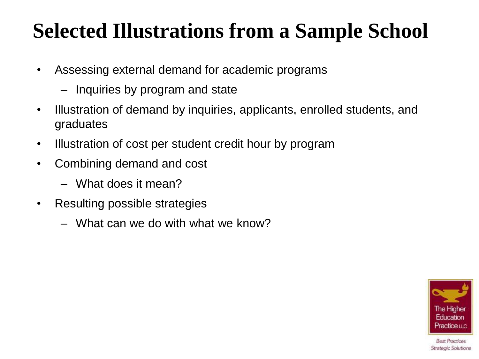#### **Selected Illustrations from a Sample School**

- Assessing external demand for academic programs
	- Inquiries by program and state
- Illustration of demand by inquiries, applicants, enrolled students, and graduates
- Illustration of cost per student credit hour by program
- Combining demand and cost
	- What does it mean?
- Resulting possible strategies
	- What can we do with what we know?

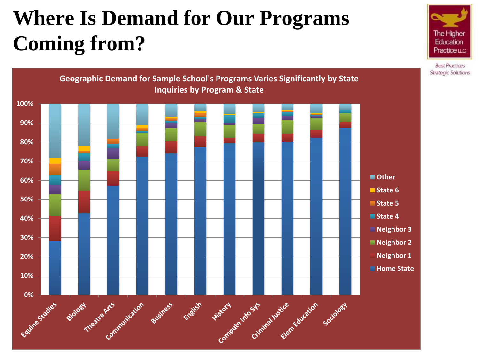# **Where Is Demand for Our Programs Coming from?**



The Higher Education Practice LLC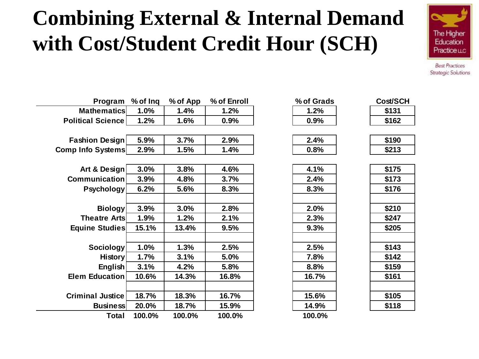### **Combining External & Internal Demand with Cost/Student Credit Hour (SCH)**



| Program                  | % of Ing | % of App | % of Enroll | % of Grads | Cost/SCH |
|--------------------------|----------|----------|-------------|------------|----------|
| <b>Mathematics</b>       | 1.0%     | 1.4%     | 1.2%        | 1.2%       | \$131    |
| <b>Political Science</b> | 1.2%     | 1.6%     | 0.9%        | 0.9%       | \$162    |
|                          |          |          |             |            |          |
| <b>Fashion Design</b>    | 5.9%     | 3.7%     | 2.9%        | 2.4%       | \$190    |
| <b>Comp Info Systems</b> | 2.9%     | 1.5%     | 1.4%        | 0.8%       | \$213    |
|                          |          |          |             |            |          |
| Art & Design             | 3.0%     | 3.8%     | 4.6%        | 4.1%       | \$175    |
| <b>Communication</b>     | 3.9%     | 4.8%     | 3.7%        | 2.4%       | \$173    |
| <b>Psychology</b>        | 6.2%     | 5.6%     | 8.3%        | 8.3%       | \$176    |
|                          |          |          |             |            |          |
| <b>Biology</b>           | 3.9%     | 3.0%     | 2.8%        | 2.0%       | \$210    |
| <b>Theatre Arts</b>      | 1.9%     | 1.2%     | 2.1%        | 2.3%       | \$247    |
| <b>Equine Studies</b>    | 15.1%    | 13.4%    | 9.5%        | 9.3%       | \$205    |
|                          |          |          |             |            |          |
| Sociology                | 1.0%     | 1.3%     | 2.5%        | 2.5%       | \$143    |
| <b>History</b>           | 1.7%     | 3.1%     | 5.0%        | 7.8%       | \$142    |
| English                  | 3.1%     | 4.2%     | 5.8%        | 8.8%       | \$159    |
| Elem Education           | 10.6%    | 14.3%    | 16.8%       | 16.7%      | \$161    |
|                          |          |          |             |            |          |
| <b>Criminal Justice</b>  | 18.7%    | 18.3%    | 16.7%       | 15.6%      | \$105    |
| <b>Business</b>          | 20.0%    | 18.7%    | 15.9%       | 14.9%      | \$118    |
| Total                    | 100.0%   | 100.0%   | 100.0%      | 100.0%     |          |

| % or Grags |  |
|------------|--|
| 1.2%       |  |
| $0.9\%$    |  |
|            |  |
| $2.4\%$    |  |

| \$190   |  |
|---------|--|
|         |  |
| c din 2 |  |

| \$175 |
|-------|
| \$173 |
| \$176 |
|       |
| \$210 |
| \$247 |
| \$205 |
|       |
| \$143 |
| \$142 |
| \$159 |
| \$161 |
|       |
| \$105 |
| \$118 |
|       |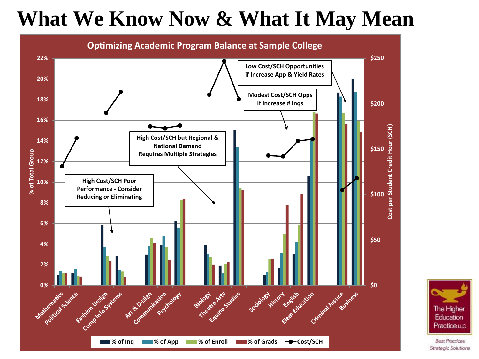### **What We Know Now & What It May Mean**



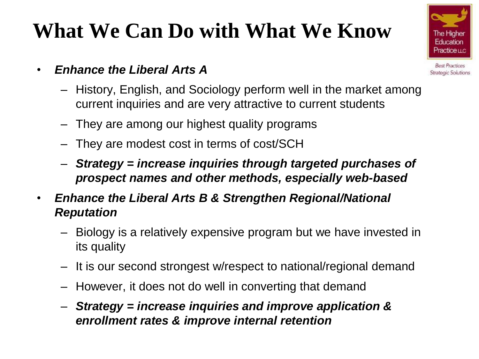

- *Enhance the Liberal Arts A*
	- History, English, and Sociology perform well in the market among current inquiries and are very attractive to current students
	- They are among our highest quality programs
	- They are modest cost in terms of cost/SCH
	- *Strategy = increase inquiries through targeted purchases of prospect names and other methods, especially web-based*
- *Enhance the Liberal Arts B & Strengthen Regional/National Reputation*
	- Biology is a relatively expensive program but we have invested in its quality
	- It is our second strongest w/respect to national/regional demand
	- However, it does not do well in converting that demand
	- *Strategy = increase inquiries and improve application & enrollment rates & improve internal retention*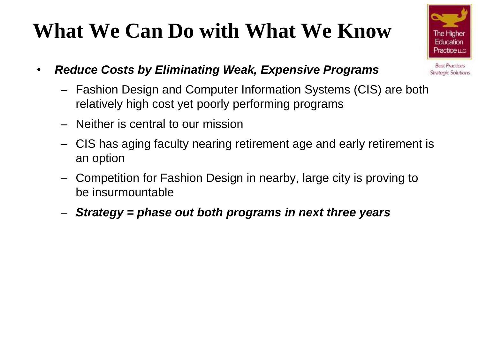

- *Reduce Costs by Eliminating Weak, Expensive Programs*
	- Fashion Design and Computer Information Systems (CIS) are both relatively high cost yet poorly performing programs
	- Neither is central to our mission
	- CIS has aging faculty nearing retirement age and early retirement is an option
	- Competition for Fashion Design in nearby, large city is proving to be insurmountable
	- *Strategy = phase out both programs in next three years*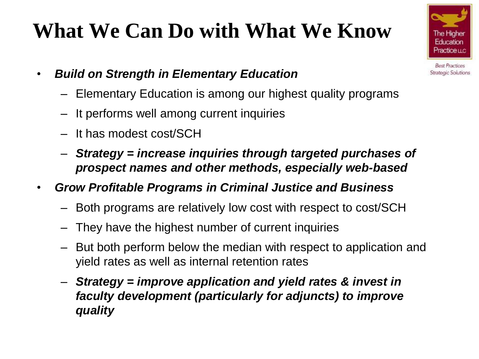- *Build on Strength in Elementary Education*
	- Elementary Education is among our highest quality programs
	- It performs well among current inquiries
	- It has modest cost/SCH
	- *Strategy = increase inquiries through targeted purchases of prospect names and other methods, especially web-based*
- *Grow Profitable Programs in Criminal Justice and Business*
	- Both programs are relatively low cost with respect to cost/SCH
	- They have the highest number of current inquiries
	- But both perform below the median with respect to application and yield rates as well as internal retention rates
	- *Strategy = improve application and yield rates & invest in faculty development (particularly for adjuncts) to improve quality*

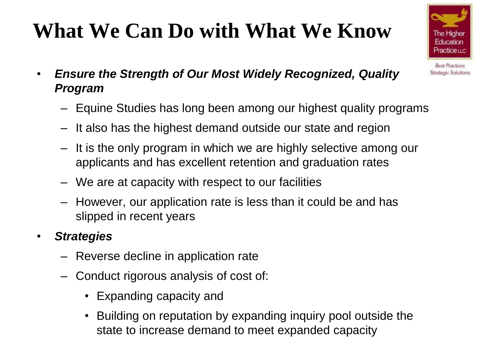

- Equine Studies has long been among our highest quality programs
- It also has the highest demand outside our state and region
- It is the only program in which we are highly selective among our applicants and has excellent retention and graduation rates
- We are at capacity with respect to our facilities
- However, our application rate is less than it could be and has slipped in recent years

#### • *Strategies*

- Reverse decline in application rate
- Conduct rigorous analysis of cost of:
	- Expanding capacity and
	- Building on reputation by expanding inquiry pool outside the state to increase demand to meet expanded capacity

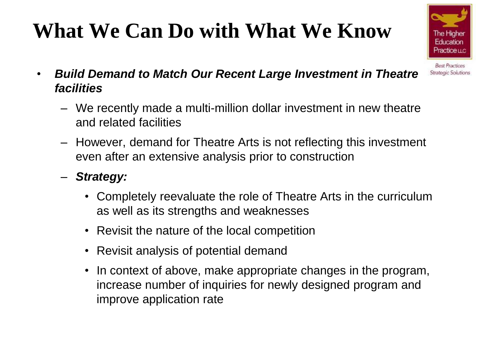

- *Build Demand to Match Our Recent Large Investment in Theatre facilities*
	- We recently made a multi-million dollar investment in new theatre and related facilities
	- However, demand for Theatre Arts is not reflecting this investment even after an extensive analysis prior to construction
	- *Strategy:*
		- Completely reevaluate the role of Theatre Arts in the curriculum as well as its strengths and weaknesses
		- Revisit the nature of the local competition
		- Revisit analysis of potential demand
		- In context of above, make appropriate changes in the program, increase number of inquiries for newly designed program and improve application rate